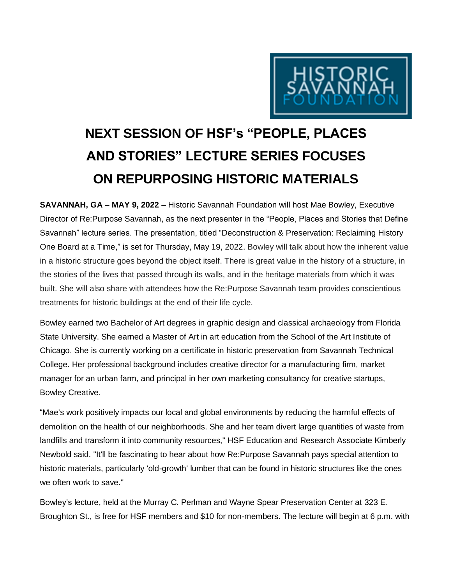

## **NEXT SESSION OF HSF's "PEOPLE, PLACES AND STORIES" LECTURE SERIES FOCUSES ON REPURPOSING HISTORIC MATERIALS**

**SAVANNAH, GA – MAY 9, 2022 –** Historic Savannah Foundation will host Mae Bowley, Executive Director of Re:Purpose Savannah, as the next presenter in the "People, Places and Stories that Define Savannah" lecture series. The presentation, titled "Deconstruction & Preservation: Reclaiming History One Board at a Time," is set for Thursday, May 19, 2022. Bowley will talk about how the inherent value in a historic structure goes beyond the object itself. There is great value in the history of a structure, in the stories of the lives that passed through its walls, and in the heritage materials from which it was built. She will also share with attendees how the Re:Purpose Savannah team provides conscientious treatments for historic buildings at the end of their life cycle.

Bowley earned two Bachelor of Art degrees in graphic design and classical archaeology from Florida State University. She earned a Master of Art in art education from the School of the Art Institute of Chicago. She is currently working on a certificate in historic preservation from Savannah Technical College. Her professional background includes creative director for a manufacturing firm, market manager for an urban farm, and principal in her own marketing consultancy for creative startups, Bowley Creative.

"Mae's work positively impacts our local and global environments by reducing the harmful effects of demolition on the health of our neighborhoods. She and her team divert large quantities of waste from landfills and transform it into community resources," HSF Education and Research Associate Kimberly Newbold said. "It'll be fascinating to hear about how Re:Purpose Savannah pays special attention to historic materials, particularly 'old-growth' lumber that can be found in historic structures like the ones we often work to save."

Bowley's lecture, held at the Murray C. Perlman and Wayne Spear Preservation Center at 323 E. Broughton St., is free for HSF members and \$10 for non-members. The lecture will begin at 6 p.m. with